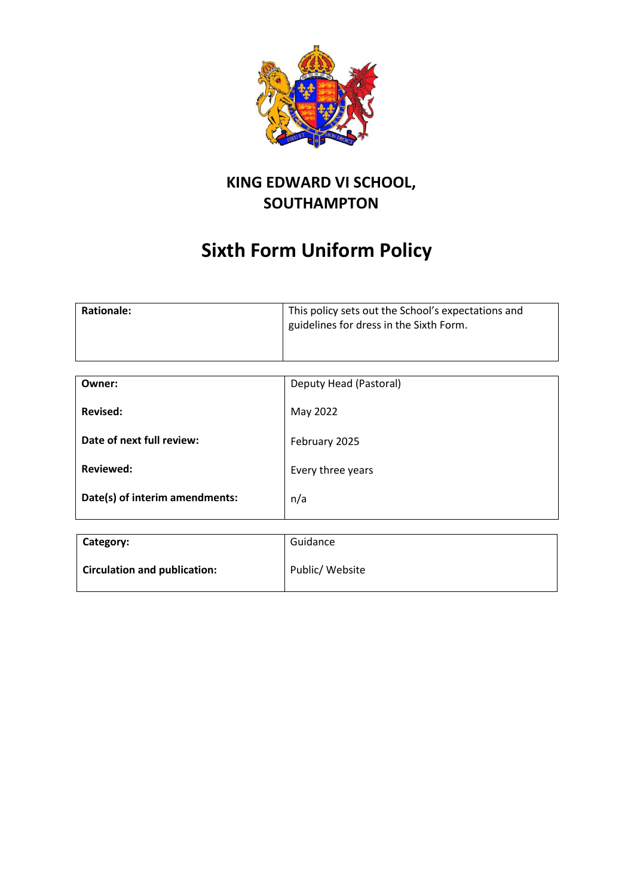

# **KING EDWARD VI SCHOOL, SOUTHAMPTON**

# **Sixth Form Uniform Policy**

| <b>Rationale:</b> | This policy sets out the School's expectations and<br>guidelines for dress in the Sixth Form. |
|-------------------|-----------------------------------------------------------------------------------------------|
|                   |                                                                                               |

| Owner:                         | Deputy Head (Pastoral) |
|--------------------------------|------------------------|
| Revised:                       | May 2022               |
| Date of next full review:      | February 2025          |
| <b>Reviewed:</b>               | Every three years      |
| Date(s) of interim amendments: | n/a                    |

| Category:                           | Guidance        |
|-------------------------------------|-----------------|
| <b>Circulation and publication:</b> | Public/ Website |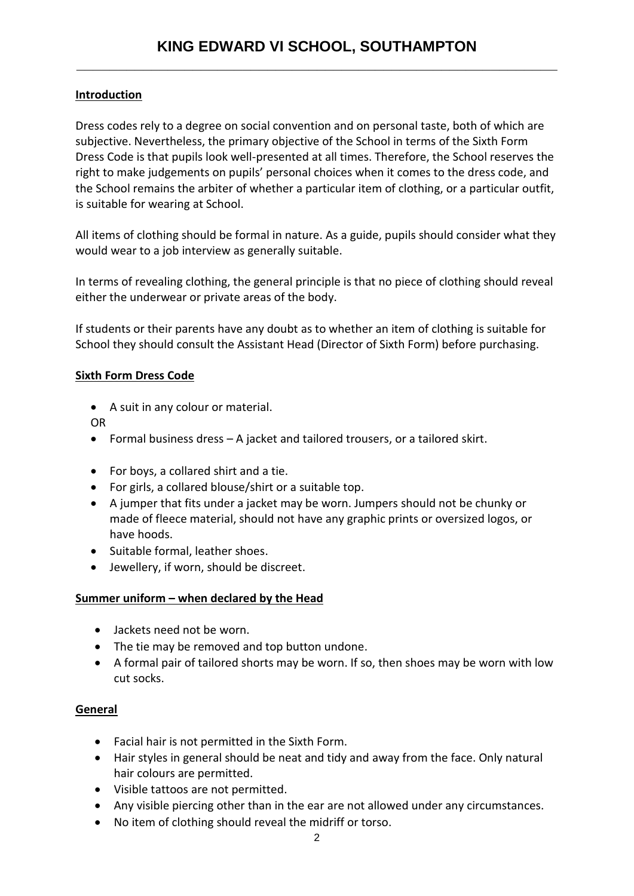## **Introduction**

Dress codes rely to a degree on social convention and on personal taste, both of which are subjective. Nevertheless, the primary objective of the School in terms of the Sixth Form Dress Code is that pupils look well-presented at all times. Therefore, the School reserves the right to make judgements on pupils' personal choices when it comes to the dress code, and the School remains the arbiter of whether a particular item of clothing, or a particular outfit, is suitable for wearing at School.

All items of clothing should be formal in nature. As a guide, pupils should consider what they would wear to a job interview as generally suitable.

In terms of revealing clothing, the general principle is that no piece of clothing should reveal either the underwear or private areas of the body.

If students or their parents have any doubt as to whether an item of clothing is suitable for School they should consult the Assistant Head (Director of Sixth Form) before purchasing.

#### **Sixth Form Dress Code**

• A suit in any colour or material.

OR

- Formal business dress A jacket and tailored trousers, or a tailored skirt.
- For boys, a collared shirt and a tie.
- For girls, a collared blouse/shirt or a suitable top.
- A jumper that fits under a jacket may be worn. Jumpers should not be chunky or made of fleece material, should not have any graphic prints or oversized logos, or have hoods.
- Suitable formal, leather shoes.
- Jewellery, if worn, should be discreet.

#### **Summer uniform – when declared by the Head**

- Jackets need not be worn.
- The tie may be removed and top button undone.
- A formal pair of tailored shorts may be worn. If so, then shoes may be worn with low cut socks.

### **General**

- Facial hair is not permitted in the Sixth Form.
- Hair styles in general should be neat and tidy and away from the face. Only natural hair colours are permitted.
- Visible tattoos are not permitted.
- Any visible piercing other than in the ear are not allowed under any circumstances.
- No item of clothing should reveal the midriff or torso.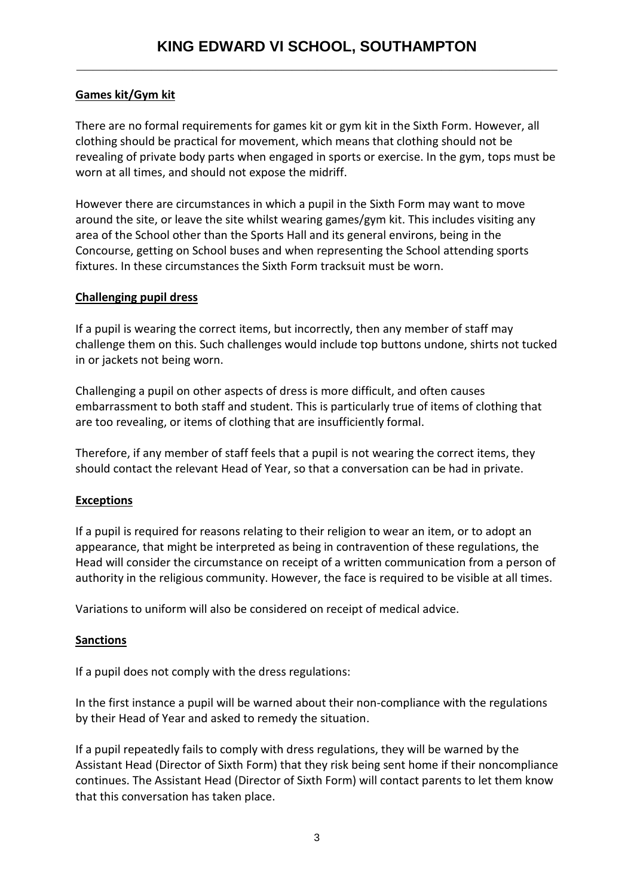# **Games kit/Gym kit**

There are no formal requirements for games kit or gym kit in the Sixth Form. However, all clothing should be practical for movement, which means that clothing should not be revealing of private body parts when engaged in sports or exercise. In the gym, tops must be worn at all times, and should not expose the midriff.

However there are circumstances in which a pupil in the Sixth Form may want to move around the site, or leave the site whilst wearing games/gym kit. This includes visiting any area of the School other than the Sports Hall and its general environs, being in the Concourse, getting on School buses and when representing the School attending sports fixtures. In these circumstances the Sixth Form tracksuit must be worn.

#### **Challenging pupil dress**

If a pupil is wearing the correct items, but incorrectly, then any member of staff may challenge them on this. Such challenges would include top buttons undone, shirts not tucked in or jackets not being worn.

Challenging a pupil on other aspects of dress is more difficult, and often causes embarrassment to both staff and student. This is particularly true of items of clothing that are too revealing, or items of clothing that are insufficiently formal.

Therefore, if any member of staff feels that a pupil is not wearing the correct items, they should contact the relevant Head of Year, so that a conversation can be had in private.

### **Exceptions**

If a pupil is required for reasons relating to their religion to wear an item, or to adopt an appearance, that might be interpreted as being in contravention of these regulations, the Head will consider the circumstance on receipt of a written communication from a person of authority in the religious community. However, the face is required to be visible at all times.

Variations to uniform will also be considered on receipt of medical advice.

### **Sanctions**

If a pupil does not comply with the dress regulations:

In the first instance a pupil will be warned about their non-compliance with the regulations by their Head of Year and asked to remedy the situation.

If a pupil repeatedly fails to comply with dress regulations, they will be warned by the Assistant Head (Director of Sixth Form) that they risk being sent home if their noncompliance continues. The Assistant Head (Director of Sixth Form) will contact parents to let them know that this conversation has taken place.